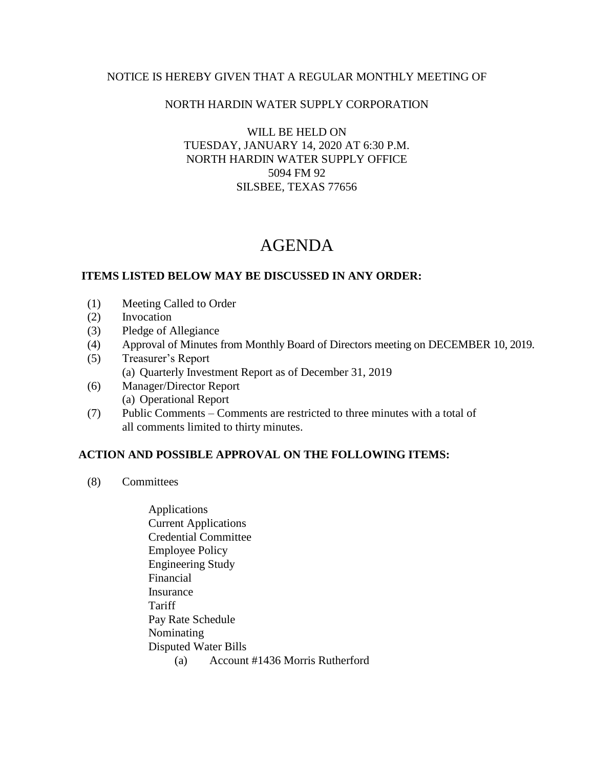## NOTICE IS HEREBY GIVEN THAT A REGULAR MONTHLY MEETING OF

### NORTH HARDIN WATER SUPPLY CORPORATION

WILL BE HELD ON TUESDAY, JANUARY 14, 2020 AT 6:30 P.M. NORTH HARDIN WATER SUPPLY OFFICE 5094 FM 92 SILSBEE, TEXAS 77656

# AGENDA

#### **ITEMS LISTED BELOW MAY BE DISCUSSED IN ANY ORDER:**

- (1) Meeting Called to Order
- (2) Invocation
- (3) Pledge of Allegiance
- (4) Approval of Minutes from Monthly Board of Directors meeting on DECEMBER 10, 2019.
- (5) Treasurer's Report (a) Quarterly Investment Report as of December 31, 2019
- (6) Manager/Director Report (a) Operational Report
- (7) Public Comments Comments are restricted to three minutes with a total of all comments limited to thirty minutes.

## **ACTION AND POSSIBLE APPROVAL ON THE FOLLOWING ITEMS:**

- (8) Committees
	- Applications Current Applications Credential Committee Employee Policy Engineering Study Financial Insurance Tariff Pay Rate Schedule Nominating Disputed Water Bills (a) Account #1436 Morris Rutherford